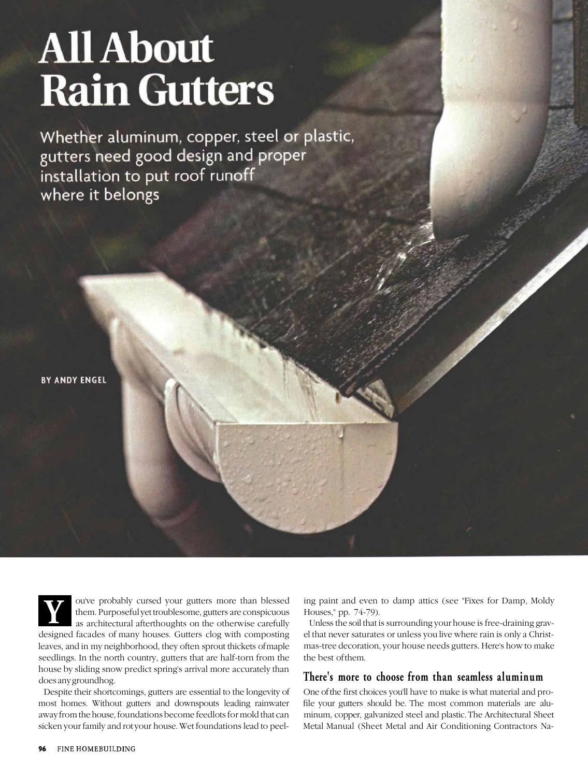# **All About Rain Gutters**

Whether aluminum, copper, steel or plastic, gutters need good design and proper installation to put roof runoff where it belongs

**BY ANDY ENGEL**

**Y** ou've probably cursed your gutters more than blessed them. Purposeful yet troublesome, gutters are conspicuous as architectural afterthoughts on the otherwise carefully them. Purposeful yet troublesome, gutters are conspicuous as architectural afterthoughts on the otherwise carefully designed facades of many houses. Gutters clog with composting leaves, and in my neighborhood, they often sprout thickets of maple seedlings. In the north country, gutters that are half-torn from the

house by sliding snow predict spring's arrival more accurately than does any groundhog.

Despite their shortcomings, gutters are essential to the longevity of most homes. Without gutters and downspouts leading rainwater away from the house, foundations become feedlots for mold that can sicken your family and rot your house. Wet foundations lead to peeling paint and even to damp attics (see "Fixes for Damp, Moldy Houses," pp. 74-79).

Unless the soil that is surrounding your house is free-draining gravel that never saturates or unless you live where rain is only a Christmas-tree decoration, your house needs gutters. Here's how to make the best of them.

## **There's more to choose from than seamless aluminum**

One of the first choices you'll have to make is what material and profile your gutters should be. The most common materials are aluminum, copper, galvanized steel and plastic. The Architectural Sheet Metal Manual (Sheet Metal and Air Conditioning Contractors Na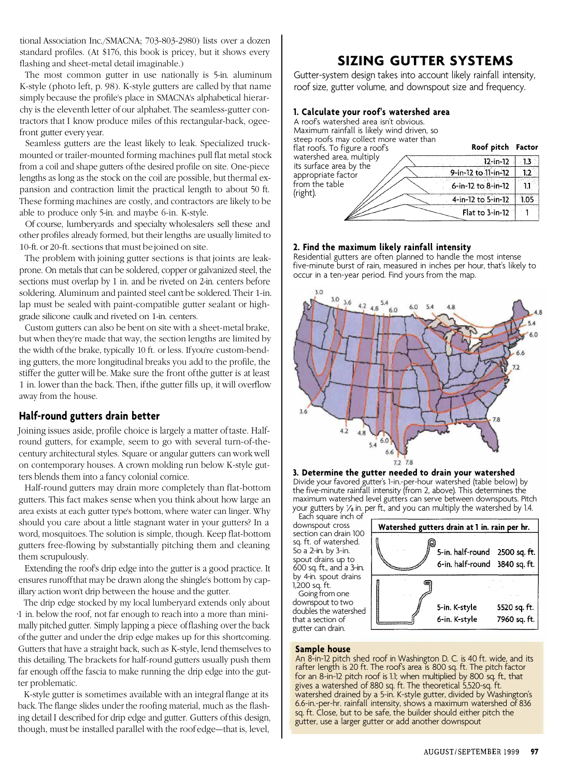tional Association Inc./SMACNA; 703-803-2980) lists over a dozen standard profiles. (At \$176, this book is pricey, but it shows every flashing and sheet-metal detail imaginable.)

The most common gutter in use nationally is 5-in. aluminum K-style (photo left, p. 98). K-style gutters are called by that name simply because the profile's place in SMACNA's alphabetical hierarchy is the eleventh letter of our alphabet. The seamless-gutter contractors that I know produce miles of this rectangular-back, ogeefront gutter every year.

Seamless gutters are the least likely to leak. Specialized truckmounted or trailer-mounted forming machines pull flat metal stock from a coil and shape gutters of the desired profile on site. One-piece lengths as long as the stock on the coil are possible, but thermal expansion and contraction limit the practical length to about 50 ft. These forming machines are costly, and contractors are likely to be able to produce only 5-in. and maybe 6-in. K-style.

Of course, lumberyards and specialty wholesalers sell these and other profiles already formed, but their lengths are usually limited to 10-ft. or 20-ft. sections that must be joined on site.

The problem with joining gutter sections is that joints are leakprone. On metals that can be soldered, copper or galvanized steel, the sections must overlap by 1 in. and be riveted on 2-in. centers before soldering. Aluminum and painted steel can't be soldered. Their 1-in. lap must be sealed with paint-compatible gutter sealant or highgrade silicone caulk and riveted on 1-in. centers.

Custom gutters can also be bent on site with a sheet-metal brake, but when they're made that way, the section lengths are limited by the width of the brake, typically 10 ft. or less. If you're custom-bending gutters, the more longitudinal breaks you add to the profile, the stiffer the gutter will be. Make sure the front of the gutter is at least 1 in. lower than the back. Then, if the gutter fills up, it will overflow away from the house.

## **Half-round gutters drain better**

Joining issues aside, profile choice is largely a matter of taste. Halfround gutters, for example, seem to go with several turn-of-thecentury architectural styles. Square or angular gutters can work well on contemporary houses. A crown molding run below K-style gutters blends them into a fancy colonial cornice.

Half-round gutters may drain more completely than flat-bottom gutters. This fact makes sense when you think about how large an area exists at each gutter type's bottom, where water can linger. Why should you care about a little stagnant water in your gutters? In a word, mosquitoes. The solution is simple, though. Keep flat-bottom gutters free-flowing by substantially pitching them and cleaning them scrupulously.

Extending the roof's drip edge into the gutter is a good practice. It ensures runoff that may be drawn along the shingle's bottom by capillary action won't drip between the house and the gutter.

The drip edge stocked by my local lumberyard extends only about •1 in. below the roof, not far enough to reach into a more than minimally pitched gutter. Simply lapping a piece of flashing over the back of the gutter and under the drip edge makes up for this shortcoming. Gutters that have a straight back, such as K-style, lend themselves to this detailing. The brackets for half-round gutters usually push them far enough off the fascia to make running the drip edge into the gutter problematic.

K-style gutter is sometimes available with an integral flange at its back. The flange slides under the roofing material, much as the flashing detail I described for drip edge and gutter. Gutters of this design, though, must be installed parallel with the roof edge—that is, level,

# **SIZING GUTTER SYSTEMS**

Gutter-system design takes into account likely rainfall intensity, roof size, gutter volume, and downspout size and frequency.

## **1. Calculate your roof's watershed area**

| A roof's watershed area isn't obvious.<br>Maximum rainfall is likely wind driven, so           |      |
|------------------------------------------------------------------------------------------------|------|
| steep roofs may collect more water than<br>Roof pitch Factor<br>flat roofs. To figure a roof's |      |
| watershed area, multiply<br>$12$ -in-12<br>its surface area by the                             | - 13 |
| 9-in-12 to 11-in-12<br>appropriate factor                                                      | 12   |
| from the table<br>6-in-12 to 8-in-12                                                           |      |
| (right).<br>4-in-12 to 5-in-12                                                                 | 1.05 |
| Flat to 3-in-12                                                                                |      |

#### **2. Find the maximum likely rainfall intensity**

Residential gutters are often planned to handle the most intense five-minute burst of rain, measured in inches per hour, that's likely to occur in a ten-year period. Find yours from the map.



#### **3. Determine the gutter needed to drain your watershed** Divide your favored gutter's 1-in.-per-hour watershed (table below) by the five-minute rainfall intensity (from 2, above). This determines the maximum watershed level gutters can serve between downspouts. Pitch your gutters by  $\frac{1}{2}$  in. per ft., and you can multiply the watershed by 1.4.

Each square inch of downspout cross section can drain 100 sq. ft. of watershed. So a 2-in. by 3-in. spout drains up to 600 sq. ft., and a 3-in. by 4-in. spout drains 1,200 sq. ft. Going from one downspout to two doubles the watershed that a section of gutter can drain.



## **Sample house**

An 8-in-12 pitch shed roof in Washington D. C. is 40 ft. wide, and its rafter length is 20 ft. The roof's area is 800 sq. ft. The pitch factor for an 8-in-12 pitch roof is 1.1; when multiplied by 800 sq. ft., that gives a watershed of 880 sq. ft. The theoretical 5,520-sq. ft. watershed drained by a 5-in. K-style gutter, divided by Washington's 6.6-in.-per-hr. rainfall intensity, shows a maximum watershed of 836 sq. ft. Close, but to be safe, the builder should either pitch the gutter, use a larger gutter or add another downspout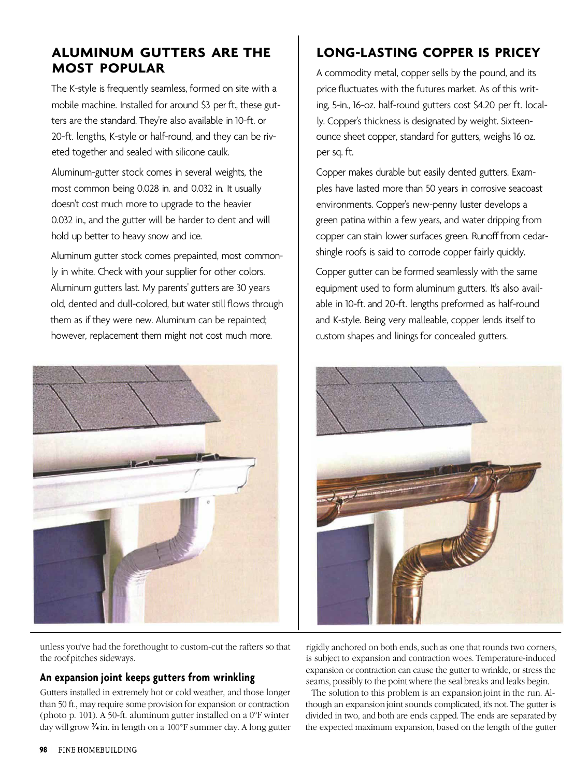# **ALUMINUM GUTTERS ARE THE MOST POPULAR**

The K-style is frequently seamless, formed on site with a mobile machine. Installed for around \$3 per ft., these gutters are the standard. They're also available in 10-ft. or 20-ft. lengths, K-style or half-round, and they can be riveted together and sealed with silicone caulk.

Aluminum-gutter stock comes in several weights, the most common being 0.028 in. and 0.032 in. It usually doesn't cost much more to upgrade to the heavier 0.032 in., and the gutter will be harder to dent and will hold up better to heavy snow and ice.

Aluminum gutter stock comes prepainted, most commonly in white. Check with your supplier for other colors. Aluminum gutters last. My parents' gutters are 30 years old, dented and dull-colored, but water still flows through them as if they were new. Aluminum can be repainted; however, replacement them might not cost much more.



unless you've had the forethought to custom-cut the rafters so that the roof pitches sideways.

## **An expansion joint keeps gutters from wrinkling**

Gutters installed in extremely hot or cold weather, and those longer than 50 ft., may require some provision for expansion or contraction (photo p. 101). A 50-ft. aluminum gutter installed on a 0°F winter day will grow  $\frac{3}{4}$  in. in length on a 100°F summer day. A long gutter

# **LONG-LASTING COPPER IS PRICEY**

A commodity metal, copper sells by the pound, and its price fluctuates with the futures market. As of this writing, 5-in., 16-oz. half-round gutters cost \$4.20 per ft. locally. Copper's thickness is designated by weight. Sixteenounce sheet copper, standard for gutters, weighs 16 oz. per sq. ft.

Copper makes durable but easily dented gutters. Examples have lasted more than 50 years in corrosive seacoast environments. Copper's new-penny luster develops a green patina within a few years, and water dripping from copper can stain lower surfaces green. Runoff from cedarshingle roofs is said to corrode copper fairly quickly.

Copper gutter can be formed seamlessly with the same equipment used to form aluminum gutters. It's also available in 10-ft. and 20-ft. lengths preformed as half-round and K-style. Being very malleable, copper lends itself to custom shapes and linings for concealed gutters.



rigidly anchored on both ends, such as one that rounds two corners, is subject to expansion and contraction woes. Temperature-induced expansion or contraction can cause the gutter to wrinkle, or stress the seams, possibly to the point where the seal breaks and leaks begin.

The solution to this problem is an expansion joint in the run. Although an expansion joint sounds complicated, it's not. The gutter is divided in two, and both are ends capped. The ends are separated by the expected maximum expansion, based on the length of the gutter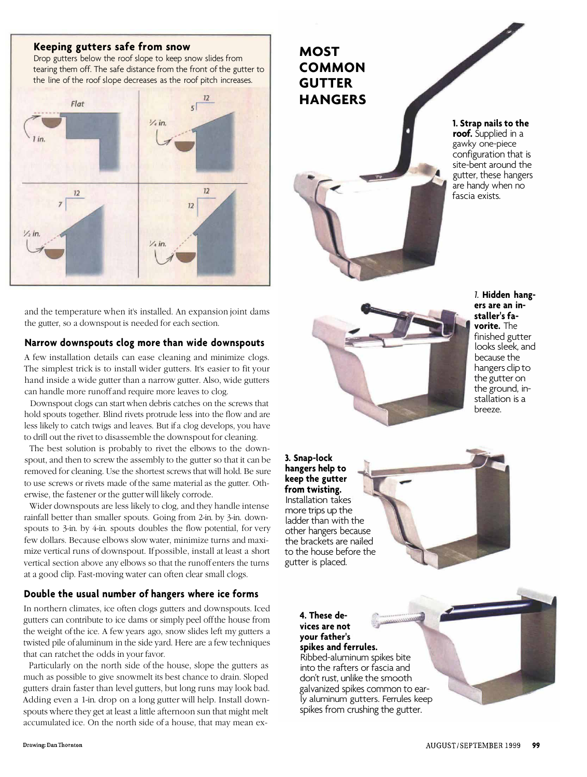## **Keeping gutters safe from snow**

Drop gutters below the roof slope to keep snow slides from tearing them off. The safe distance from the front of the gutter to the line of the roof slope decreases as the roof pitch increases.



and the temperature when it's installed. An expansion joint dams the gutter, so a downspout is needed for each section.

#### **Narrow downspouts clog more than wide downspouts**

A few installation details can ease cleaning and minimize clogs. The simplest trick is to install wider gutters. It's easier to fit your hand inside a wide gutter than a narrow gutter. Also, wide gutters can handle more runoff and require more leaves to clog.

Downspout clogs can start when debris catches on the screws that hold spouts together. Blind rivets protrude less into the flow and are less likely to catch twigs and leaves. But if a clog develops, you have to drill out the rivet to disassemble the downspout for cleaning.

The best solution is probably to rivet the elbows to the downspout, and then to screw the assembly to the gutter so that it can be removed for cleaning. Use the shortest screws that will hold. Be sure to use screws or rivets made of the same material as the gutter. Otherwise, the fastener or the gutter will likely corrode.

Wider downspouts are less likely to clog, and they handle intense rainfall better than smaller spouts. Going from 2-in. by 3-in. downspouts to 3-in. by 4-in. spouts doubles the flow potential, for very few dollars. Because elbows slow water, minimize turns and maximize vertical runs of downspout. If possible, install at least a short vertical section above any elbows so that the runoff enters the turns at a good clip. Fast-moving water can often clear small clogs.

## **Double the usual number of hangers where ice forms**

In northern climates, ice often clogs gutters and downspouts. Iced gutters can contribute to ice dams or simply peel off the house from the weight of the ice. A few years ago, snow slides left my gutters a twisted pile of aluminum in the side yard. Here are a few techniques that can ratchet the odds in your favor.

Particularly on the north side of the house, slope the gutters as much as possible to give snowmelt its best chance to drain. Sloped gutters drain faster than level gutters, but long runs may look bad. Adding even a 1-in. drop on a long gutter will help. Install downspouts where they get at least a little afternoon sun that might melt accumulated ice. On the north side of a house, that may mean ex**MOST COMMON GUTTER HANGERS 1. Strap nails to the** gawky one-piece

**roof.** Supplied in a

configuration that is site-bent around the gutter, these hangers are handy when no fascia exists.



*1.* **Hidden hangers are an installer's favorite.** The finished gutter looks sleek, and because the hangers clip to the gutter on the ground, installation is a breeze.

**3. Snap-lock hangers help to keep the gutter from twisting.** Installation takes more trips up the ladder than with the other hangers because the brackets are nailed to the house before the gutter is placed.



**4. These devices are not your father's spikes and ferrules.**

Ribbed-aluminum spikes bite into the rafters or fascia and don't rust, unlike the smooth galvanized spikes common to early aluminum gutters. Ferrules keep spikes from crushing the gutter.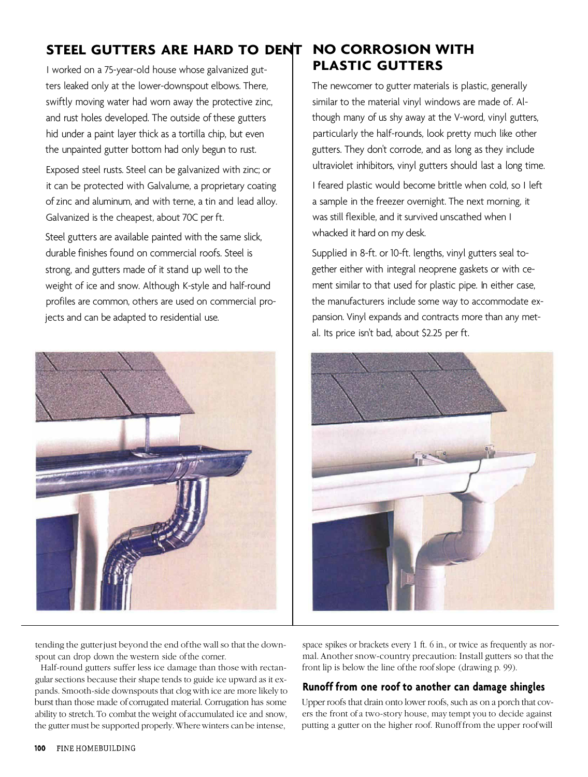# **STEEL GUTTERS ARE HARD TO DENT**

I worked on a 75-year-old house whose galvanized gutters leaked only at the lower-downspout elbows. There, swiftly moving water had worn away the protective zinc, and rust holes developed. The outside of these gutters hid under a paint layer thick as a tortilla chip, but even the unpainted gutter bottom had only begun to rust.

Exposed steel rusts. Steel can be galvanized with zinc; or it can be protected with Galvalume, a proprietary coating of zinc and aluminum, and with terne, a tin and lead alloy. Galvanized is the cheapest, about 70C per ft.

Steel gutters are available painted with the same slick, durable finishes found on commercial roofs. Steel is strong, and gutters made of it stand up well to the weight of ice and snow. Although K-style and half-round profiles are common, others are used on commercial projects and can be adapted to residential use.



# **NO CORROSION WITH PLASTIC GUTTERS**

The newcomer to gutter materials is plastic, generally similar to the material vinyl windows are made of. Although many of us shy away at the V-word, vinyl gutters, particularly the half-rounds, look pretty much like other gutters. They don't corrode, and as long as they include ultraviolet inhibitors, vinyl gutters should last a long time.

I feared plastic would become brittle when cold, so I left a sample in the freezer overnight. The next morning, it was still flexible, and it survived unscathed when I whacked it hard on my desk.

Supplied in 8-ft. or 10-ft. lengths, vinyl gutters seal together either with integral neoprene gaskets or with cement similar to that used for plastic pipe. In either case, the manufacturers include some way to accommodate expansion. Vinyl expands and contracts more than any metal. Its price isn't bad, about \$2.25 per ft.



tending the gutter just beyond the end of the wall so that the downspout can drop down the western side of the corner.

Half-round gutters suffer less ice damage than those with rectangular sections because their shape tends to guide ice upward as it expands. Smooth-side downspouts that clog with ice are more likely to burst than those made of corrugated material. Corrugation has some ability to stretch. To combat the weight of accumulated ice and snow, the gutter must be supported properly. Where winters can be intense,

space spikes or brackets every 1 ft. 6 in., or twice as frequently as normal. Another snow-country precaution: Install gutters so that the front lip is below the line of the roof slope (drawing p. 99).

## **Runoff from one roof to another can damage shingles**

Upper roofs that drain onto lower roofs, such as on a porch that covers the front of a two-story house, may tempt you to decide against putting a gutter on the higher roof. Runoff from the upper roof will